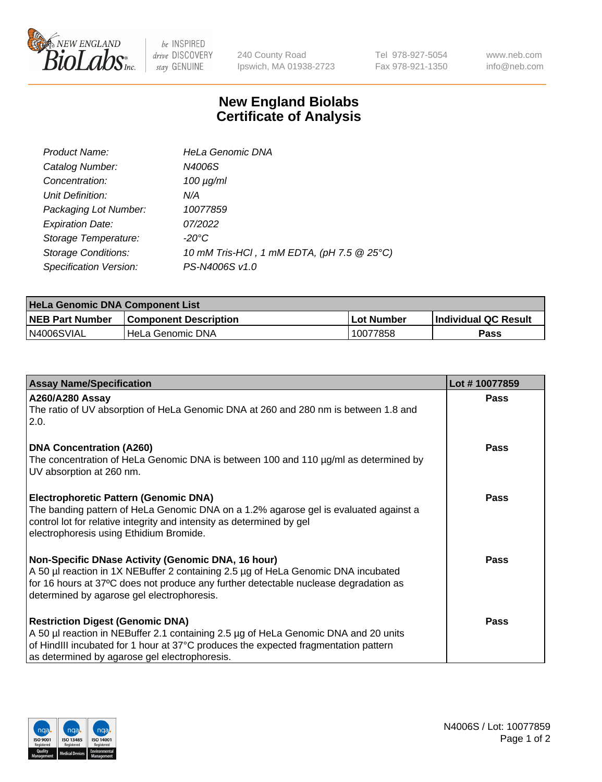

 $be$  INSPIRED drive DISCOVERY stay GENUINE

240 County Road Ipswich, MA 01938-2723 Tel 978-927-5054 Fax 978-921-1350 www.neb.com info@neb.com

## **New England Biolabs Certificate of Analysis**

| Product Name:              | <b>HeLa Genomic DNA</b>                    |
|----------------------------|--------------------------------------------|
| Catalog Number:            | N4006S                                     |
| Concentration:             | $100 \mu g/ml$                             |
| Unit Definition:           | N/A                                        |
| Packaging Lot Number:      | 10077859                                   |
| <b>Expiration Date:</b>    | 07/2022                                    |
| Storage Temperature:       | -20°C                                      |
| <b>Storage Conditions:</b> | 10 mM Tris-HCl, 1 mM EDTA, (pH 7.5 @ 25°C) |
| Specification Version:     | PS-N4006S v1.0                             |

| <b>HeLa Genomic DNA Component List</b> |                              |             |                             |  |
|----------------------------------------|------------------------------|-------------|-----------------------------|--|
| <b>NEB Part Number</b>                 | <b>Component Description</b> | ⊥Lot Number | <b>Individual QC Result</b> |  |
| N4006SVIAL                             | l HeLa Genomic DNA           | 10077858    | Pass                        |  |

| <b>Assay Name/Specification</b>                                                                                                                                                                                                                                               | Lot #10077859 |
|-------------------------------------------------------------------------------------------------------------------------------------------------------------------------------------------------------------------------------------------------------------------------------|---------------|
| <b>A260/A280 Assay</b><br>The ratio of UV absorption of HeLa Genomic DNA at 260 and 280 nm is between 1.8 and<br>2.0.                                                                                                                                                         | <b>Pass</b>   |
| <b>DNA Concentration (A260)</b><br>The concentration of HeLa Genomic DNA is between 100 and 110 µg/ml as determined by<br>UV absorption at 260 nm.                                                                                                                            | <b>Pass</b>   |
| <b>Electrophoretic Pattern (Genomic DNA)</b><br>The banding pattern of HeLa Genomic DNA on a 1.2% agarose gel is evaluated against a<br>control lot for relative integrity and intensity as determined by gel<br>electrophoresis using Ethidium Bromide.                      | Pass          |
| Non-Specific DNase Activity (Genomic DNA, 16 hour)<br>A 50 µl reaction in 1X NEBuffer 2 containing 2.5 µg of HeLa Genomic DNA incubated<br>for 16 hours at 37°C does not produce any further detectable nuclease degradation as<br>determined by agarose gel electrophoresis. | <b>Pass</b>   |
| <b>Restriction Digest (Genomic DNA)</b><br>A 50 µl reaction in NEBuffer 2.1 containing 2.5 µg of HeLa Genomic DNA and 20 units<br>of HindIII incubated for 1 hour at 37°C produces the expected fragmentation pattern<br>as determined by agarose gel electrophoresis.        | <b>Pass</b>   |